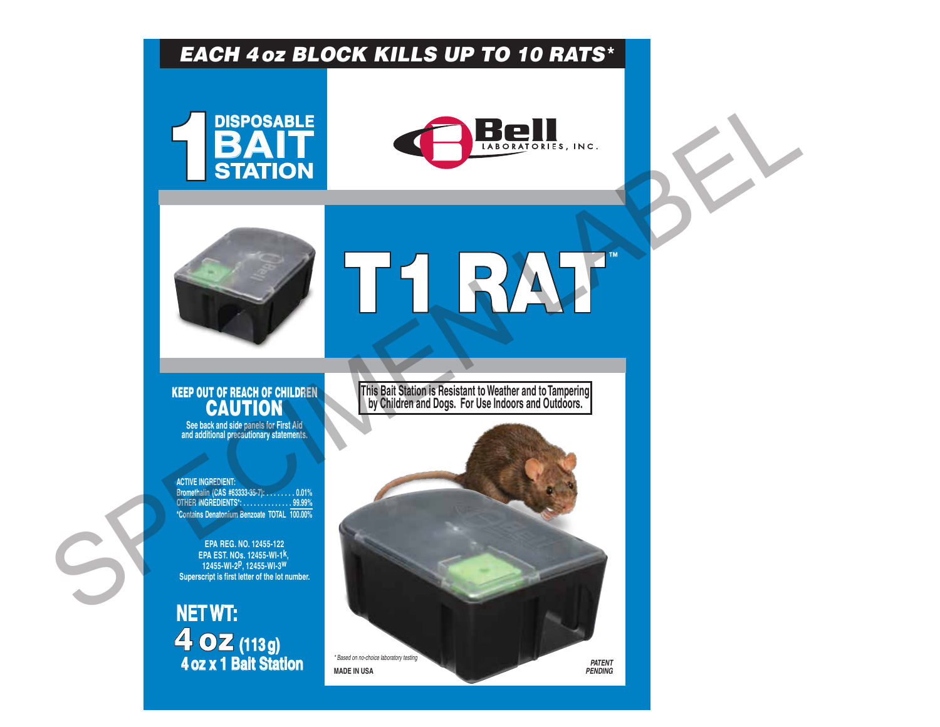### *EACH 4oz BLOCK KILLS UP TO 10 RATS***\***







# T1 RAT **™**

## KEEP OUT OF REACH OF CHILDREN

**See back and side panels for First Aid and additional precautionary statements.**

**ACTIVE INGREDIENT: Bromethalin (CAS #63333-35-7): . . . . . . . . 0.01% OTHER INGREDIENTS\*: . . . . . . . . . . . . . . 99.99% \*Contains Denatonium Benzoate TOTAL 100.00%**

**EPA REG. NO. 12455-122 EPA EST. NOs. 12455-WI-1k,**  12455-WI-2P, 12455-WI-3<sup>W</sup><br>Superscript is first letter of the lot number.

**NET WT:** 4oz **(113 g) 4 oz x 1 Bait Station**

**This Bait Station is Resistant to Weather and to Tampering CAUTION BY Children and Dogs. For Use Indoors and Outdoors.** 

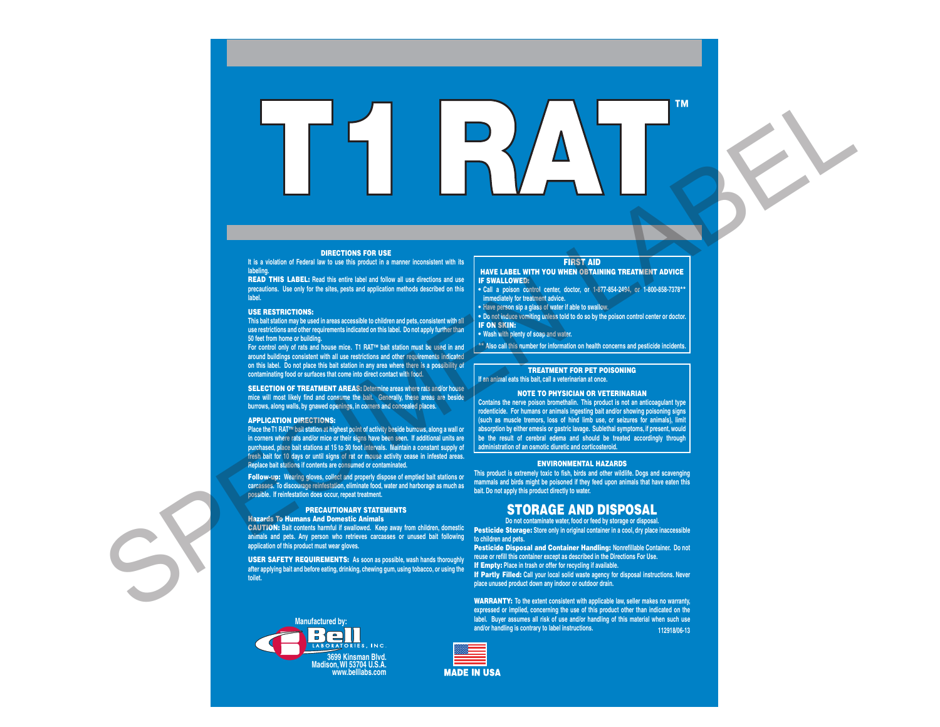DIRECTIONS FOR USE

**It is a violation of Federal law to use this product in a manner inconsistent with its** 

**labeling.** READ THIS LABEL: **Read this entire label and follow all use directions and use precautions. Use only for the sites, pests and application methods described on this label.**

#### USE RESTRICTIONS:

**This bait station may be used in areas accessible to children and pets, consistent with all use restrictions and other requirements indicated on this label. Do not apply further than 50 feet from home or building.**

**For control only of rats and house mice. T1 RAT™ bait station must be used in and around buildings consistent with all use restrictions and other requirements indicated**  on this label. Do not place this bait station in any area where there is a possibility of **contaminating food or surfaces that come into direct contact with food.**

SELECTION OF TREATMENT AREAS: **Determine areas where rats and/or house mice will most likely find and consume the bait. Generally, these areas are beside burrows, along walls, by gnawed openings, in corners and concealed places.**

#### APPLICATION DIRECTIONS:

**Place the T1 RAT™ bait station at highest point of activity beside burrows, along a wall or in corners where rats and/or mice or their signs have been seen. If additional units are purchased, place bait stations at 15 to 30 foot intervals. Maintain a constant supply of fresh bait for 10 days or until signs of rat or mouse activity cease in infested areas. Replace bait stations if contents are consumed or contaminated.**

Follow-up: **Wearing gloves, collect and properly dispose of emptied bait stations or carcasses. To discourage reinfestation, eliminate food, water and harborage as much as possible. If reinfestation does occur, repeat treatment.**

#### PRECAUTIONARY STATEMENTS

Hazards To Humans And Domestic Animals

**animals and pets. Any person who retrieves carcasses or unused bait following to children and pets. application of this product must wear gloves.**

USER SAFETY REQUIREMENTS: **As soon as possible, wash hands thoroughly after applying bait and before eating, drinking, chewing gum, using tobacco, or using the toilet.**



**MADE IN USA** 

#### FIRST AID

#### HAVE LABEL WITH YOU WHEN OBTAINING TREATMENT ADVICE IF SWALLOWED:

**• Call a poison control center, doctor, or 1-877-854-2494, or 1-800-858-7378\*\* immediately for treatment advice.**

**• Have person sip a glass of water if able to swallow. • Do not induce vomiting unless told to do so by the poison control center or doctor.**

**IF ON SKIN:** 

T1 RAT **™**

**• Wash with plenty of soap and water.**

**\*\* Also call this number for information on health concerns and pesticide incidents.**

#### TREATMENT FOR PET POISONING

**If an animal eats this bait, call a veterinarian at once.**

#### NOTE TO PHYSICIAN OR VETERINARIAN

**Contains the nerve poison bromethalin. This product is not an anticoagulant type rodenticide. For humans or animals ingesting bait and/or showing poisoning signs (such as muscle tremors, loss of hind limb use, or seizures for animals), limit absorption by either emesis or gastric lavage. Sublethal symptoms, if present, would be the result of cerebral edema and should be treated accordingly through administration of an osmotic diuretic and corticosteroid.** 

#### ENVIRONMENTAL HAZARDS

**This product is extremely toxic to fish, birds and other wildlife. Dogs and scavenging mammals and birds might be poisoned if they feed upon animals that have eaten this bait. Do not apply this product directly to water.**

#### STORAGE AND DISPOSAL

CAUTION: **Bait contents harmful if swallowed. Keep away from children, domestic**  Pesticide Storage: **Store only in original container in a cool, dry place inaccessible Do not contaminate water, food or feed by storage or disposal.**

> Pesticide Disposal and Container Handling: **Nonrefillable Container. Do not reuse or refill this container except as described in the Directions For Use.** If Empty: **Place in trash or offer for recycling if available.**

> If Partly Filled: **Call your local solid waste agency for disposal instructions. Never place unused product down any indoor or outdoor drain.**

> WARRANTY: **To the extent consistent with applicable law, seller makes no warranty, expressed or implied, concerning the use of this product other than indicated on the label. Buyer assumes all risk of use and/or handling of this material when such use and/or handling is contrary to label instructions. 112918/06-13**

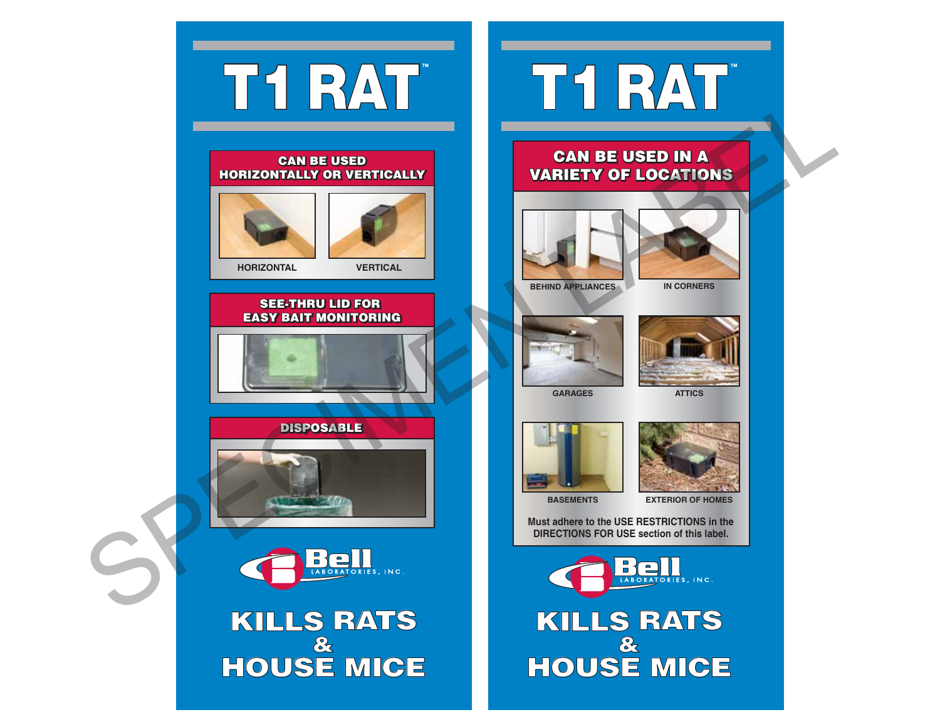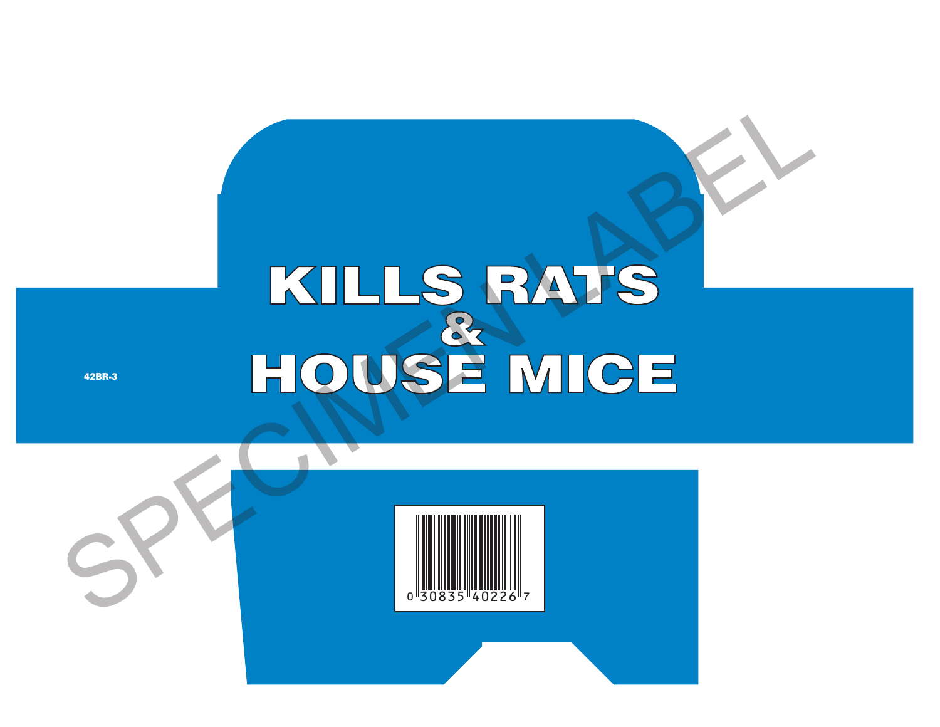## KILLS RATS HOUSE MICE

42BR-3

![](_page_3_Picture_2.jpeg)